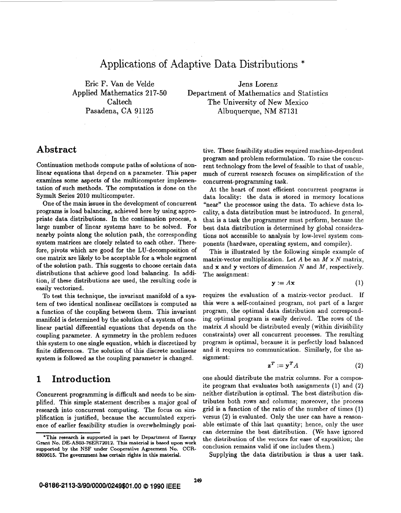# Applications of Adaptive Data Distributions \*

Eric F. Van de Velde Applied Mathematics 217-50 **Caltech** Pasadena, **CA 91125** 

Jens Lorenz Department of Mathematics and Statistics The University of New Mexico Albuquerque, NM **87131** 

# **Abstract**

Continuation methods compute paths of solutions of nonlinear equations that depend on a parameter. This paper examines some aspects of the multicomputer implementation of such methods. The computation is done on the Symult Series **2010** multicomputer.

One of the main issues in the development of concurrent programs is load balancing, achieved here by using appropriate data distributions. In the continuation process, a large number of linear systems have to be solved. For nearby points along the solution path, the corresponding system matrices are closely related to each other. Therefore, pivots which are good for the LU-decomposition of one matrix are likely to be acceptable for a whole segment of the solution path. This suggests to choose certain data distributions that achieve good load balancing. In addition, if these distributions are used, the resulting code is easily vectorized.

To test this technique, the invariant manifold of a system of two identical nonlinear oscillators is computed **as**  a function of the coupling between them. This invariant manifold is determined by the solution of a system of nonlinear partial differential equations that depends on the coupling parameter. **A** symmetry in the problem reduces this system to one single equation, which is discretized by finite differences. The solution of this discrete nonlinear system is followed **as** the coupling parameter is changed.

### **1 Introduction**

Concurrent programming is difficult and needs to be simplified. This simple statement describes a major goal of research into concurrent computing. The focus on simplification is justified, because the accumulated experience of earlier feasibility studies is overwhelmingly positive. These feasibility studies required machine-dependent program and problem reformulation. To raise the concurrent technology from the level of feasible to that **of** usable, much of current research focuses on simplification **of** the concurrent-programming task.

At the heart **of** most efficient concurrent programs is data locality: the data is stored in memory locations "near" the processor using the data. To achieve data locality, a data distribution must be introduced. In general, that is a task the programmer must perform, because the best data distribution is determined by global considerations not accessible to analysis by low-level system components (hardware, operating system, and compiler).

This is illustrated by the following simple example of matrix-vector multiplication. Let *A* be an  $M \times N$  matrix, and **x** and **y** vectors of dimension *N* and *M,* respectively. The assignment:

$$
\mathbf{y} := A\mathbf{x} \tag{1}
$$

requires the evaluation **of** a matrix-vector product. If this were a self-contained program, not part of a larger program, the optimal data distribution and corresponding optimal program is easily derived. The rows of the matrix *A* should be distributed evenly (within divisibility constraints) over all concurrent processes. The resulting program is optimal, because it is perfectly load balanced and it requires no communication. Similarly, for the **as**signment:

$$
\mathbf{z}^T := \mathbf{y}^T A \tag{2}
$$

one should distribute the matrix columns. For a composite program that evaluates both assignments **(1)** and **(2)**  neither distribution is optimal. The best distribution distributes both rows and columns; moreover, the 'process grid is a function of the ratio of the number of times (1) versus **(2)** is evaluated. Only the user can have a reasonable estimate of this last quantity; hence, only the user can determine the best distribution. (We have ignored the distribution of the vectors for ease of exposition; the conclusion remains valid if one includes them.)

Supplying the data distribution is thus a user task.

**<sup>&#</sup>x27;This research is supported in part by Department of Energy Grant No. DEASW76ER72012. This material is based upon work supported by the NSF under Cooperative Agreement** No. **CCR-8809615. The government has certain rights in this material.**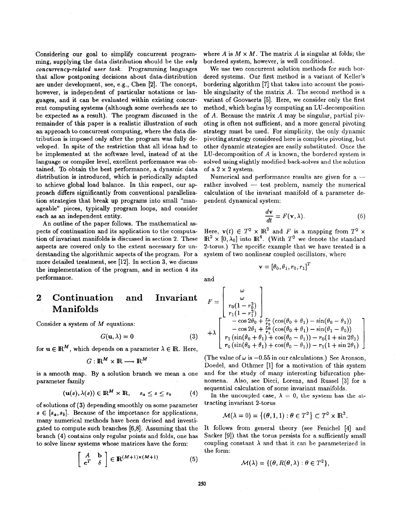Considering our goal to simplify concurrent programming, supplying the data distribution should be the *only concurrency-related user task.* Programming languages that allow postponing decisions about data-distribution are under development, see, e.g., Chen **[2].** The concept, however, is independent of particular notations or languages, and it can be evaluated within existing concurrent computing systems (although some overheads are to be expected **as** a result). The program discussed in the remainder of this paper is a realistic illustration of such an approach to concurrent computing, where the data distribution is imposed only after the program was fully developed. In spite of the restriction that all ideas had to be implemented at the software level, instead of at the language or compiler level, excellent performance was obtained. To obtain the best performance, a dynamic data distribution is introduced, which is periodically adapted to achieve global load balance. In this respect, our approach differs significantly from conventional parallelization strategies that break up programs into small "manageable" pieces, typically program loops, and consider each **as** an independent entity.

An outline of the paper follows. The mathematical **as**pects of continuation and its application to the computation of invariant manifolds is discussed in section 2. These aspects are covered only to the extent necessary for understanding the algorithmic aspects of the program. For a more detailed treatment, see **[12].** In section **3,** we discuss the implementation of the program, and in section **4** its performance.

# **2 Continuation and Invariant Manifolds**

Consider a system of *M* equations:

$$
G(\mathbf{u},\lambda) = \mathbf{0} \tag{3}
$$

for  $\mathbf{u} \in \mathbb{R}^M$ , which depends on a parameter  $\lambda \in \mathbb{R}$ . Here,

$$
G:\mathbb{R}^M\times\mathbb{R}\longrightarrow\mathbb{R}^M
$$

is a smooth map. By a solution branch we mean a one parameter family

$$
(\mathbf{u}(s),\lambda(s))\in\mathbb{R}^M\times\mathbb{R},\quad s_a\leq s\leq s_b\qquad(4)
$$

of solutions of **(3)** depending smoothly on some parameter  $s \in [s_a, s_b]$ . Because of the importance for applications, many numerical methods have been devised and investigated to compute such branches [6,8]. Assuming that the branch **(4)** contains only regular points and folds, one has to solve linear systems whose matrices have the form:

$$
\begin{bmatrix} A & \mathbf{b} \\ \mathbf{c}^T & \delta \end{bmatrix} \in \mathbb{R}^{(M+1)\times(M+1)} \tag{5}
$$

where *A* is  $M \times M$ . The matrix *A* is singular at folds; the bordered system, however, is well conditioned.

We use two concurrent solution methods for such bordered systems. Our first method is a variant of Keller's bordering algorithm **[7]** that takes into account the possible singularity of the matrix *A.* The second method is a variant of Goovaerts *[5].* Here, we consider only the first method, which begins by computing an LU-decomposition of *A.* Because the matrix *A* may be singular, partial pivoting is often not sufficient, and a more general pivoting strategy must be used. For simplicity, the only dynamic pivoting strategy considered here is complete pivoting, but other dynamic strategies are easily substituted. Once the LU-decomposition of *A* is known, the bordered system is solved using slightly modified back-solves and the solution of a  $2 \times 2$  system.

Numerical and performance results are given for  $a$ rather involved — test problem, namely the numerical calculation of the invariant manifold of a parameter dependent dynamical system:

$$
\frac{d\mathbf{v}}{dt} = F(\mathbf{v}, \lambda).
$$
 (6)

Here,  $\mathbf{v}(t) \in T^2 \times \mathbb{R}^2$  and *F* is a mapping from  $T^2 \times$  $\mathbb{R}^2 \times [0, \lambda_0]$  into  $\mathbb{R}^4$ . (With  $T^2$  we denote the standard 2-torus.) The specific example that we have treated is a system of two nonlinear coupled oscillators, where

$$
\mathbf{v} = \left[\theta_0, \theta_1, r_0, r_1\right]^T
$$

and

$$
F = \begin{bmatrix} \omega \\ \omega \\ r_0(1 - r_0^2) \\ r_1(1 - r_1^2) \\ -\cos 2\theta_0 + \frac{r_1}{r_0}(\cos(\theta_0 + \theta_1) - \sin(\theta_0 - \theta_1)) \\ -\cos 2\theta_1 + \frac{r_0}{r_1}(\cos(\theta_0 + \theta_1) - \sin(\theta_1 - \theta_0)) \\ r_1(\sin(\theta_0 + \theta_1) + \cos(\theta_0 - \theta_1)) - r_0(1 + \sin 2\theta_0) \\ r_0(\sin(\theta_0 + \theta_1) + \cos(\theta_0 - \theta_1)) - r_1(1 + \sin 2\theta_1) \end{bmatrix}
$$

(The value of  $\omega$  is  $-0.55$  in our calculations.) See Aronson, Doedel, and Othmer [l] for a motivation of this system and for the study of many interesting bifurcation phenomena. Also, see Dieci, Lorenz, and Russel **[3]** for a sequential calculation of some invariant manifolds.

In the uncoupled case,  $\lambda = 0$ , the system has the attracting invariant 2-torus

$$
\mathcal{M}(\lambda = 0) = \{(\theta, 1, 1) : \theta \in T^2\} \subset T^2 \times \mathbb{R}^2.
$$

It follows from general theory (see Fenichel **[4]** and Sacker [9]) that the torus persists for a sufficiently small coupling constant  $\lambda$  and that it can be parameterized in the form:

$$
\mathcal{M}(\lambda) = \{(\theta, R(\theta, \lambda) : \theta \in T^2\},\
$$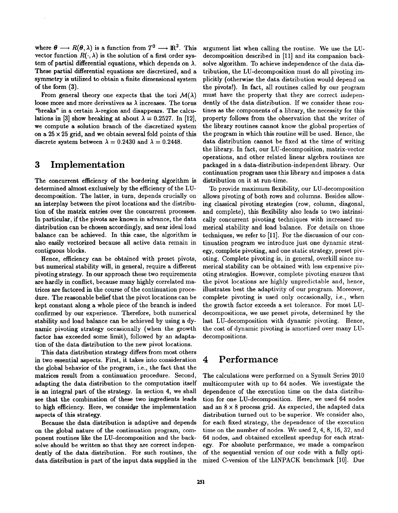where  $\theta \longrightarrow R(\theta, \lambda)$  is a function from  $T^2 \longrightarrow \mathbb{R}^2$ . This vector function  $R(\cdot, \lambda)$  is the solution of a first order system of partial differential equations, which depends on  $\lambda$ . These partial differential equations are discretized, and a symmetry is utilized to obtain a finite dimensional system of the form **(3).** 

From general theory one expects that the tori  $\mathcal{M}(\lambda)$ loose more and more derivatives as  $\lambda$  increases. The torus "breaks" in a certain  $\lambda$ -region and disappears. The calculations in [3] show breaking at about  $\lambda = 0.2527$ . In [12], we compute a solution branch of the discretized system on a  $25 \times 25$  grid, and we obtain several fold points of this discrete system between  $\lambda = 0.2430$  and  $\lambda = 0.2448$ .

#### **3 Implementation**

The concurrent efficiency of the bordering algorithm is determined almost exclusively by the efficiency of the LUdecomposition. The latter, in turn, depends crucially on an interplay between the pivot locations and the distribution of the matrix entries over the concurrent processes. In particular, if the pivots are known in advance, the data distribution can be chosen accordingly, and near ideal load balance can be achieved. In this case, the algorithm is also easily vectorized because all active data remain in contiguous blocks.

Hence, efficiency can be obtained with preset pivots, but numerical stability will, in general, require a different pivoting strategy. In our approach these two requirements are hardly in conflict, because many highly correlated matrices are factored in the course of the continuation procedure. The reasonable belief that the pivot locations can be kept constant along a whole piece of the branch is indeed confirmed by our experience. Therefore, both numerical stability and load balance can be achieved by using a dynamic pivoting strategy occasionally (when the growth factor has exceeded some limit), followed by an adaptation of the data distribution to the new pivot locations.

This data distribution strategy differs from most others in two essential aspects. First, it takes into consideration the global behavior of the program, i.e., the fact that the matrices result from a continuation procedure. Second, adapting the data distribution to the computation itself is an integral part of the strategy. In section **4,** we shall see that the combination of these two ingredients leads to high efficiency. Here, we consider the implementation aspects of this strategy.

Because the data distribution is adaptive and depends on the global nature of the continuation program, component routines like the LU-decomposition and the backsolve should be written so that they are correct independently of the data distribution. For such routines, the data distribution is part of the input data supplied in the

argument list when calling the routine. We use the LUdecomposition described in **[ll]** and its companion backsolve algorithm. To achieve independence of the data distribution, the LU-decomposition must do all pivoting implicitly (otherwise the data distribution would depend on the pivots!). In fact, all routines called by our program must have the property that they are correct independently of the data distribution. If we consider these routines **as** the components of a library, the necessity for this property follows from the observation that the writer of the library routines cannot know the global properties of the program in which this routine will be used. Hence, the data distribution cannot be fixed at the time of writing the library. In fact, **our** LU-decomposition, matrix-vector operations, and other related linear algebra routines are packaged in a data-distribution-independent library. Our continuation program uses this library and imposes a data distribution on it at run-time.

To provide maximum flexibility, our LU-decomposition allows pivoting of both rows and columns. Besides allowing classical pivoting strategies (row, column, diagonal, and complete), this flexibility also leads to two intrinsically concurrent pivoting techniques with increased numerical stability and load balance. For details on those techniques, we refer to **[ll].** For the discussion of our continuation program we introduce just one dynamic strategy, complete pivoting, and one static strategy, preset pivoting. Complete pivoting is, in general, overkill since numerical stability can be obtained with less expensive pivoting strategies. However, complete pivoting ensures that the pivot locations are highly unpredictable and, hence, illustrates best the adaptivity of our program. Moreover, complete pivoting is used only occasionally, i.e., when the growth factor exceeds a set tolerance. For most LUdecompositions, we use preset pivots, determined by the last LU-decomposition with dynamic pivoting. Hence, the cost of dynamic pivoting is amortized over many LUdecompositions.

## **4 Performance**

The calculations were performed on a Symult Series **2010**  multicomputer with up to **64** nodes. We investigate the dependence of the execution time on the data distribution for one LU-decomposition. Here, we used **64** nodes and an **8 x 8** process grid. **As** expected, the adapted data distribution turned out to be superior. We consider also, for each fixed strategy, the dependence *of* the execution time on the number of nodes. We used **2, 4, 8, 16, 32,** and **64** nodes, and obtained excellent speedup for each strategy. **For** absolute performance, we made a comparison of the sequential version of our code with a fully optimized C-version of the LINPACK benchmark **[lo].** Due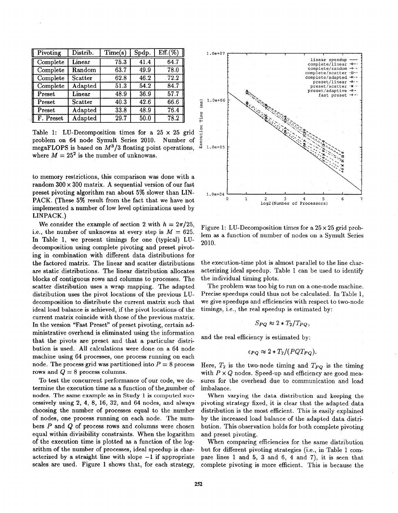| $\mathbb{F}$ Pivoting | Distrib. | Time(s)           | Spdp. | Eff. (%)          |
|-----------------------|----------|-------------------|-------|-------------------|
| Complete              | Linear   | 75.3              | 41.4  | 64.7              |
| Complete              | Random   | 63.7              | 49.9  | 78.0              |
| Complete              | Scatter  | 62.8              | 46.2  | $\overline{72.2}$ |
| Complete              | Adapted  | $\overline{51.3}$ | 54.2  | 84.7              |
| Preset                | Linear   | 48.9              | 36.9  | 57.7              |
| Preset                | Scatter  | 40.3              | 42.6  | 66.6              |
| Preset                | Adapted  | 33.8              | 48.9  | 76.4              |
| F. Preset             | Adapted  | 29.7              | 50.0  | 78.2              |

Table 1: LU-Decomposition times for a **25** x **25** grid problem on **64** node Symult Series **2010.** Number of megaFLOPS is based on **M3/3** floating point operations, where  $M = 25^2$  is the number of unknowns.

to memory restrictions, this comparison was done with a random **300 x 300** matrix. **A** sequential version of our fast preset pivoting algorithm ran about **5%** slower than LIN-PACK. (These **5%** result from the fact that we have not implemented a number of low level optimizations used by LINPACK.)

We consider the example of section 2 with  $h = 2\pi/25$ . i.e., the number of unknowns at every step is  $M = 625$ . In Table 1, we present timings for one (typical) LUdecomposition using complete pivoting and preset pivoting in combination with different data distributions for the factored matrix. The linear and scatter distributions are static distributions. The linear distribution allocates blocks of contiguous rows and columns to processes. The scatter distribution uses a wrap mapping. The adapted distribution uses the pivot locations of the previous LUdecomposition to distribute the current matrix such that ideal load balance **is** achieved, if the pivot locations of the current matrix coincide with those of the previous matrix. In the version "Fast Preset" of preset pivoting, certain administrative overhead is eliminated using the information that the pivots are preset and that a particular distribution **is** used. All calculations were done on a **64** node machine using **64** processes, one process running on each node. The process grid was partitioned into  $P = 8$  process rows and Q = **8** process columns.

To test the concurrent performance of our code, we determine the execution time **as** a function of thepumber of nodes. The same example as **in Study 1 is** computed successively using **2, 4, 8, 16, 32,** and **64** nodes, and always choosing the number of processes equal to the number of nodes, one process running on each node. The numbers *P* and Q of process **rows** and columns were chosen equal within divisibility constraints. When the logarithm of the execution time is plotted **as** a function of the logarithm of the number of processes, ideal speedup is characterized by a straight line with slope **-1** if appropriate scales are used. Figure **1** shows that, for each strategy,



Figure 1: LU-Decomposition times for a  $25 \times 25$  grid problem **as** a function of number of nodes on a Symult Series **2010.** 

the execution-time plot is almost parallel to the line characterizing ideal speedup. Table 1 can be used to identify the individual timing plots.

The problem was too big to run **on** a one-node machine. Precise speedups could thus not be calculated. In Table **1,**  we give speedups and efficiencies with respect to two-node timings, i.e., the real speedup is estimated by:

$$
S_{PO} \approx 2 * T_2 / T_{PO},
$$

and the real efficiency is estimated by:

$$
\epsilon_{PQ} \approx 2 * T_2 / (PQ T_{PQ}).
$$

Here,  $T_2$  is the two-node timing and  $T_{PQ}$  is the timing with  $P \times Q$  nodes. Speed-up and efficiency are good measures for the overhead due to communication and load imbalance.

**When** varying the data distribution and keeping the pivoting strategy fixed, it is clear that the adapted data distribution is the most efficient. This is easily explained by the increased load balance of the adapted data distribution. This observation holds for both complete pivoting and preset pivoting.

When comparing efficiencies for the same distribution but for different pivoting strategies (i.e., in Table **1** compare lines **1** and **5, 3** and **6, 4** and **7),** it is seen that complete pivoting is more efficient. This is because the